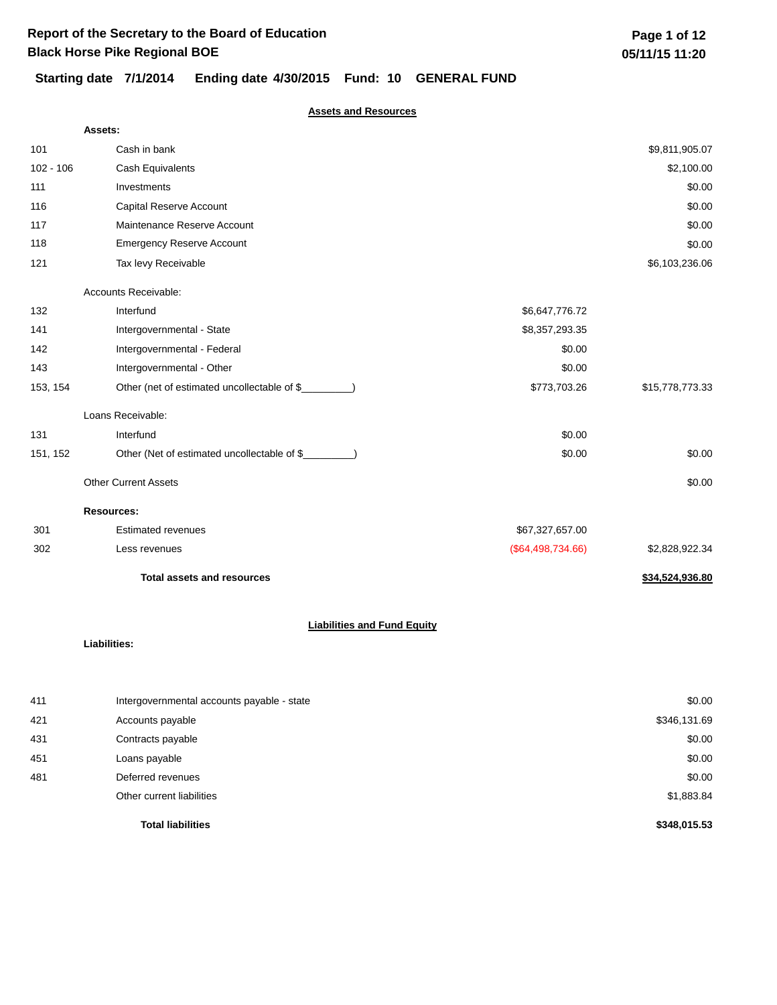### **Assets and Resources**

|             | Assets:                                              |                   |                 |
|-------------|------------------------------------------------------|-------------------|-----------------|
| 101         | Cash in bank                                         |                   | \$9,811,905.07  |
| $102 - 106$ | Cash Equivalents                                     |                   | \$2,100.00      |
| 111         | Investments                                          |                   | \$0.00          |
| 116         | Capital Reserve Account                              |                   | \$0.00          |
| 117         | Maintenance Reserve Account                          |                   | \$0.00          |
| 118         | <b>Emergency Reserve Account</b>                     |                   | \$0.00          |
| 121         | Tax levy Receivable                                  |                   | \$6,103,236.06  |
|             | Accounts Receivable:                                 |                   |                 |
| 132         | Interfund                                            | \$6,647,776.72    |                 |
| 141         | Intergovernmental - State                            | \$8,357,293.35    |                 |
| 142         | Intergovernmental - Federal                          | \$0.00            |                 |
| 143         | Intergovernmental - Other                            | \$0.00            |                 |
| 153, 154    | Other (net of estimated uncollectable of \$          | \$773,703.26      | \$15,778,773.33 |
|             | Loans Receivable:                                    |                   |                 |
| 131         | Interfund                                            | \$0.00            |                 |
| 151, 152    | Other (Net of estimated uncollectable of \$________) | \$0.00            | \$0.00          |
|             | <b>Other Current Assets</b>                          |                   | \$0.00          |
|             | <b>Resources:</b>                                    |                   |                 |
| 301         | <b>Estimated revenues</b>                            | \$67,327,657.00   |                 |
| 302         | Less revenues                                        | (\$64,498,734.66) | \$2,828,922.34  |
|             | <b>Total assets and resources</b>                    |                   | \$34,524,936.80 |
|             | <b>Liabilities and Fund Equity</b>                   |                   |                 |
|             | <b>Liabilities:</b>                                  |                   |                 |
| 411         | Intergovernmental accounts payable - state           |                   | \$0.00          |
| 421         | Accounts payable                                     |                   | \$346,131.69    |
| 431         | Contracts payable                                    |                   | \$0.00          |

| 451 | Loans payable             | \$0.00     |
|-----|---------------------------|------------|
| 481 | Deferred revenues         | \$0.00     |
|     | Other current liabilities | \$1,883.84 |

**Total liabilities \$348,015.53**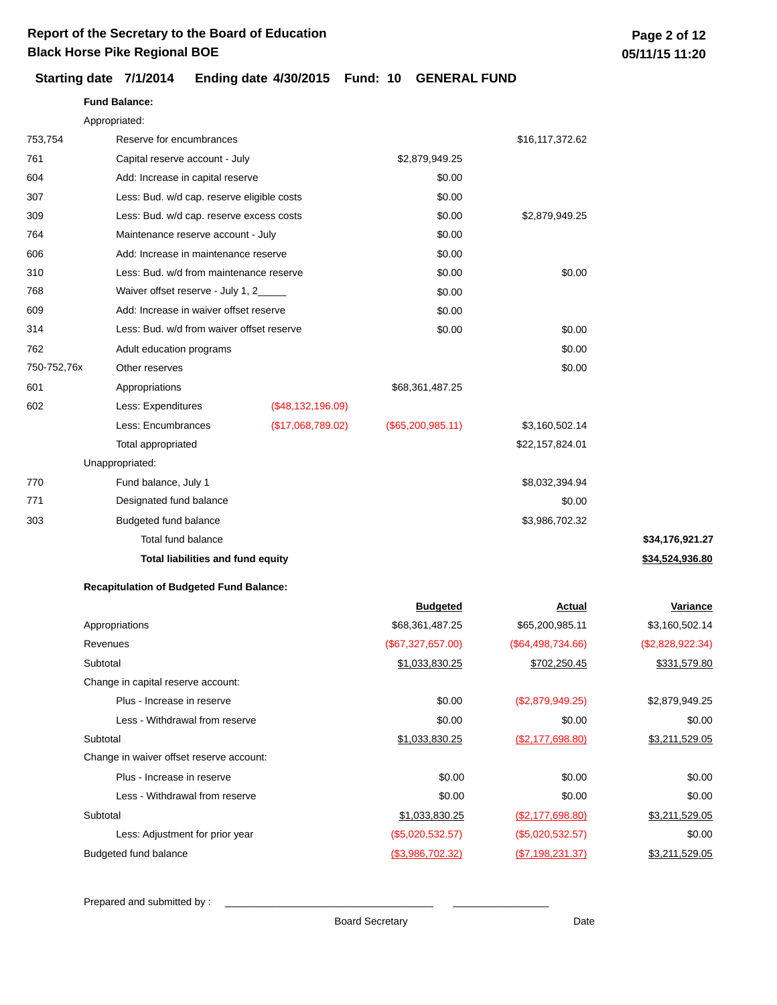**Fund Balance:**

### **Starting date 7/1/2014 Ending date 4/30/2015 Fund: 10 GENERAL FUND**

|             | Appropriated:                                   |                   |                     |                   |                  |
|-------------|-------------------------------------------------|-------------------|---------------------|-------------------|------------------|
| 753,754     | Reserve for encumbrances                        |                   |                     | \$16,117,372.62   |                  |
| 761         | Capital reserve account - July                  |                   | \$2,879,949.25      |                   |                  |
| 604         | Add: Increase in capital reserve                |                   | \$0.00              |                   |                  |
| 307         | Less: Bud. w/d cap. reserve eligible costs      |                   | \$0.00              |                   |                  |
| 309         | Less: Bud. w/d cap. reserve excess costs        |                   | \$0.00              | \$2,879,949.25    |                  |
| 764         | Maintenance reserve account - July              |                   | \$0.00              |                   |                  |
| 606         | Add: Increase in maintenance reserve            |                   | \$0.00              |                   |                  |
| 310         | Less: Bud. w/d from maintenance reserve         |                   | \$0.00              | \$0.00            |                  |
| 768         | Waiver offset reserve - July 1, 2_____          |                   | \$0.00              |                   |                  |
| 609         | Add: Increase in waiver offset reserve          |                   | \$0.00              |                   |                  |
| 314         | Less: Bud. w/d from waiver offset reserve       |                   | \$0.00              | \$0.00            |                  |
| 762         | Adult education programs                        |                   |                     | \$0.00            |                  |
| 750-752,76x | Other reserves                                  |                   |                     | \$0.00            |                  |
| 601         | Appropriations                                  |                   | \$68,361,487.25     |                   |                  |
| 602         | Less: Expenditures                              | (\$48,132,196.09) |                     |                   |                  |
|             | Less: Encumbrances                              | (\$17,068,789.02) | $(\$65,200,985.11)$ | \$3,160,502.14    |                  |
|             | Total appropriated                              |                   |                     | \$22,157,824.01   |                  |
|             | Unappropriated:                                 |                   |                     |                   |                  |
| 770         | Fund balance, July 1                            |                   |                     | \$8,032,394.94    |                  |
| 771         | Designated fund balance                         |                   |                     | \$0.00            |                  |
| 303         | Budgeted fund balance                           |                   |                     | \$3,986,702.32    |                  |
|             | Total fund balance                              |                   |                     |                   | \$34,176,921.27  |
|             | Total liabilities and fund equity               |                   |                     |                   | \$34,524,936.80  |
|             | <b>Recapitulation of Budgeted Fund Balance:</b> |                   |                     |                   |                  |
|             |                                                 |                   | <b>Budgeted</b>     | <u>Actual</u>     | Variance         |
|             | Appropriations                                  |                   | \$68,361,487.25     | \$65,200,985.11   | \$3,160,502.14   |
|             | Revenues                                        |                   | (\$67,327,657.00)   | (\$64,498,734.66) | (\$2,828,922.34) |
|             | Subtotal                                        |                   | \$1,033,830.25      | \$702,250.45      | \$331,579.80     |
|             | Change in capital reserve account:              |                   |                     |                   |                  |
|             | Plus - Increase in reserve                      |                   | \$0.00              | (\$2,879,949.25)  | \$2,879,949.25   |
|             | Less - Withdrawal from reserve                  |                   | \$0.00              | \$0.00            | \$0.00           |
|             | Subtotal                                        |                   | \$1,033,830.25      | (\$2,177,698.80)  | \$3,211,529.05   |
|             | Change in waiver offset reserve account:        |                   |                     |                   |                  |
|             | Plus - Increase in reserve                      |                   | \$0.00              | \$0.00            | \$0.00           |

Less: Adjustment for prior year (\$5,020,532.57) Budgeted fund balance  $($3,986,702.32)$   $($7,198,231.37)$  \$3,211,529.05

Prepared and submitted by :

Subtotal

Less - Withdrawal from reserve

Board Secretary **Date** 

\$0.00

\$1,033,830.25 (\$2,177,698.80) \$3,211,529.05

(\$5,020,532.57) \$0.00

\$0.00 \$0.00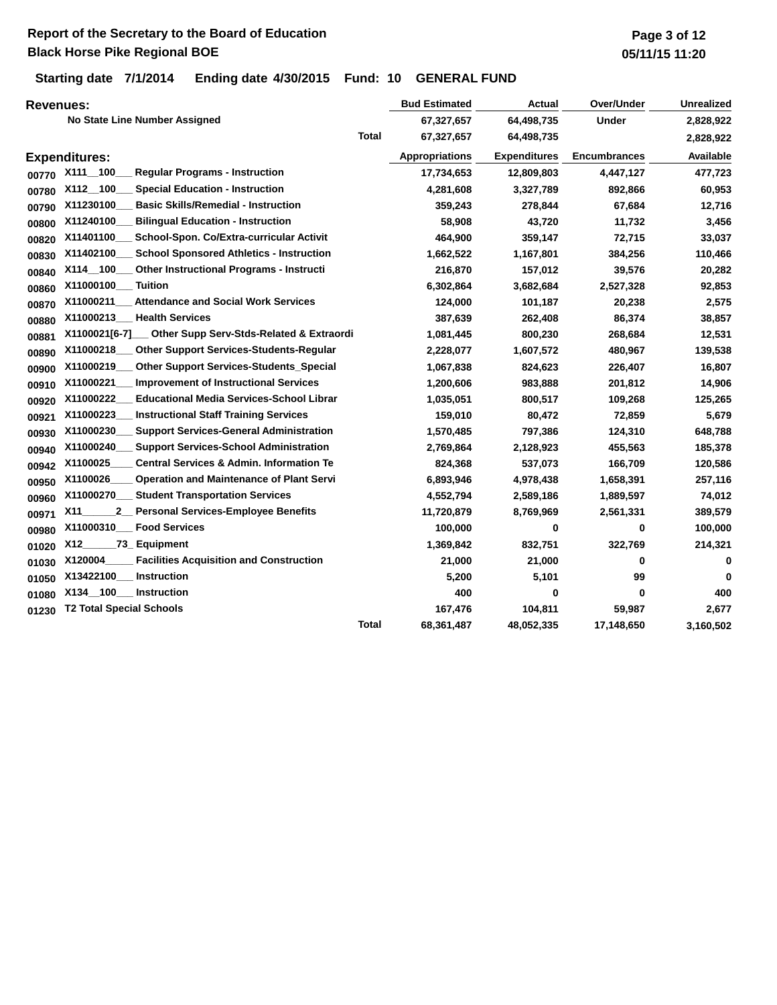## **Report of the Secretary to the Board of Education Black Horse Pike Regional BOE**

## **Starting date 7/1/2014 Ending date 4/30/2015 Fund: 10 GENERAL FUND**

| <b>Revenues:</b> |                                                                   |              | <b>Bud Estimated</b>  | Actual              | Over/Under          | <b>Unrealized</b> |
|------------------|-------------------------------------------------------------------|--------------|-----------------------|---------------------|---------------------|-------------------|
|                  | No State Line Number Assigned                                     |              | 67,327,657            | 64,498,735          | <b>Under</b>        | 2,828,922         |
|                  |                                                                   | <b>Total</b> | 67,327,657            | 64,498,735          |                     | 2,828,922         |
|                  | <b>Expenditures:</b>                                              |              | <b>Appropriations</b> | <b>Expenditures</b> | <b>Encumbrances</b> | Available         |
| 00770            | X111_100<br><b>Regular Programs - Instruction</b>                 |              | 17,734,653            | 12,809,803          | 4,447,127           | 477,723           |
| 00780            | X112 100<br><b>Special Education - Instruction</b>                |              | 4,281,608             | 3,327,789           | 892,866             | 60,953            |
| 00790            | X11230100<br><b>Basic Skills/Remedial - Instruction</b>           |              | 359,243               | 278,844             | 67,684              | 12,716            |
| 00800            | X11240100<br><b>Bilingual Education - Instruction</b>             |              | 58,908                | 43,720              | 11,732              | 3,456             |
| 00820            | School-Spon. Co/Extra-curricular Activit<br>X11401100             |              | 464,900               | 359,147             | 72,715              | 33,037            |
| 00830            | X11402100<br><b>School Sponsored Athletics - Instruction</b>      |              | 1,662,522             | 1,167,801           | 384,256             | 110,466           |
| 00840            | X114_100<br><b>Other Instructional Programs - Instructi</b>       |              | 216,870               | 157,012             | 39,576              | 20,282            |
| 00860            | X11000100_<br><b>Tuition</b>                                      |              | 6,302,864             | 3,682,684           | 2,527,328           | 92,853            |
| 00870            | X11000211<br><b>Attendance and Social Work Services</b>           |              | 124,000               | 101,187             | 20,238              | 2,575             |
| 00880            | X11000213<br><b>Health Services</b>                               |              | 387,639               | 262,408             | 86,374              | 38,857            |
| 00881            | X1100021[6-7]<br>Other Supp Serv-Stds-Related & Extraordi         |              | 1,081,445             | 800,230             | 268,684             | 12,531            |
| 00890            | X11000218<br><b>Other Support Services-Students-Reqular</b>       |              | 2,228,077             | 1,607,572           | 480,967             | 139,538           |
| 00900            | X11000219<br><b>Other Support Services-Students_Special</b>       |              | 1,067,838             | 824,623             | 226,407             | 16,807            |
| 00910            | X11000221<br><b>Improvement of Instructional Services</b>         |              | 1,200,606             | 983,888             | 201,812             | 14,906            |
| 00920            | X11000222<br><b>Educational Media Services-School Librar</b>      |              | 1,035,051             | 800,517             | 109,268             | 125,265           |
| 00921            | X11000223<br><b>Instructional Staff Training Services</b>         |              | 159,010               | 80,472              | 72,859              | 5,679             |
| 00930            | X11000230<br><b>Support Services-General Administration</b>       |              | 1,570,485             | 797,386             | 124,310             | 648,788           |
| 00940            | X11000240<br><b>Support Services-School Administration</b>        |              | 2,769,864             | 2,128,923           | 455,563             | 185,378           |
| 00942            | X1100025<br><b>Central Services &amp; Admin. Information Te</b>   |              | 824,368               | 537,073             | 166,709             | 120,586           |
| 00950            | X1100026<br><b>Operation and Maintenance of Plant Servi</b>       |              | 6,893,946             | 4,978,438           | 1,658,391           | 257,116           |
| 00960            | <b>Student Transportation Services</b><br>X11000270               |              | 4,552,794             | 2,589,186           | 1,889,597           | 74,012            |
| 00971            | <b>Personal Services-Employee Benefits</b><br>X11<br>$\mathbf{2}$ |              | 11,720,879            | 8,769,969           | 2,561,331           | 389,579           |
| 00980            | X11000310<br><b>Food Services</b>                                 |              | 100,000               | 0                   | 0                   | 100,000           |
| 01020            | X12<br>73 Equipment                                               |              | 1,369,842             | 832,751             | 322,769             | 214,321           |
| 01030            | X120004<br><b>Facilities Acquisition and Construction</b>         |              | 21,000                | 21,000              | 0                   | 0                 |
| 01050            | X13422100<br>Instruction                                          |              | 5,200                 | 5,101               | 99                  | 0                 |
| 01080            | X134 100<br>Instruction                                           |              | 400                   | 0                   | 0                   | 400               |
| 01230            | <b>T2 Total Special Schools</b>                                   |              | 167,476               | 104,811             | 59,987              | 2,677             |
|                  |                                                                   | <b>Total</b> | 68,361,487            | 48,052,335          | 17,148,650          | 3,160,502         |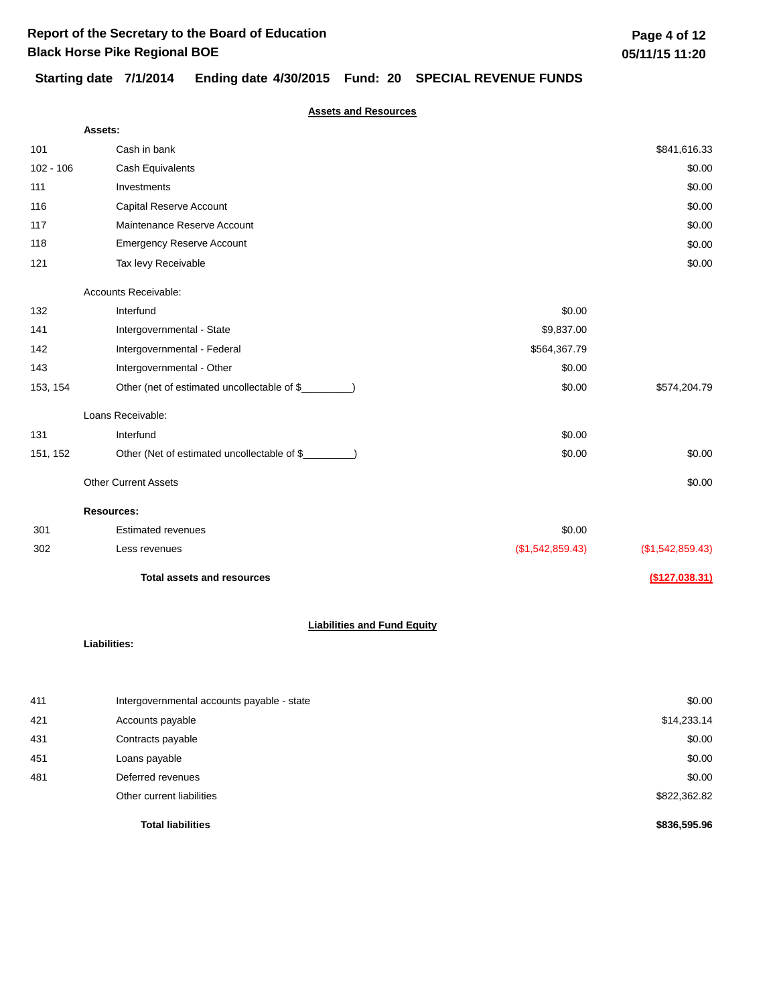## **Starting date 7/1/2014 Ending date 4/30/2015 Fund: 20 SPECIAL REVENUE FUNDS**

### **Assets and Resources**

|             | <b>Assets:</b>                                       |                  |                  |
|-------------|------------------------------------------------------|------------------|------------------|
| 101         | Cash in bank                                         |                  | \$841,616.33     |
| $102 - 106$ | Cash Equivalents                                     |                  | \$0.00           |
| 111         | Investments                                          |                  | \$0.00           |
| 116         | Capital Reserve Account                              |                  | \$0.00           |
| 117         | Maintenance Reserve Account                          |                  | \$0.00           |
| 118         | <b>Emergency Reserve Account</b>                     |                  | \$0.00           |
| 121         | Tax levy Receivable                                  |                  | \$0.00           |
|             | Accounts Receivable:                                 |                  |                  |
| 132         | Interfund                                            | \$0.00           |                  |
| 141         | Intergovernmental - State                            | \$9,837.00       |                  |
| 142         | Intergovernmental - Federal                          | \$564,367.79     |                  |
| 143         | Intergovernmental - Other                            | \$0.00           |                  |
| 153, 154    | Other (net of estimated uncollectable of \$          | \$0.00           | \$574,204.79     |
|             | Loans Receivable:                                    |                  |                  |
| 131         | Interfund                                            | \$0.00           |                  |
| 151, 152    | Other (Net of estimated uncollectable of \$________) | \$0.00           | \$0.00           |
|             | <b>Other Current Assets</b>                          |                  | \$0.00           |
|             | <b>Resources:</b>                                    |                  |                  |
| 301         | <b>Estimated revenues</b>                            | \$0.00           |                  |
| 302         | Less revenues                                        | (\$1,542,859.43) | (\$1,542,859.43) |
|             | <b>Total assets and resources</b>                    |                  | (\$127,038.31)   |
|             | <b>Liabilities and Fund Equity</b>                   |                  |                  |
|             | Liabilities:                                         |                  |                  |
| 411         | Intergovernmental accounts payable - state           |                  | \$0.00           |
| 421         | Accounts payable                                     |                  | \$14,233.14      |
| 431         | Contracts payable                                    |                  | \$0.00           |
| 451         | Loans payable                                        |                  | \$0.00           |
| 481         | Deferred revenues                                    |                  | \$0.00           |
|             | Other current liabilities                            |                  | \$822,362.82     |

**Total liabilities \$836,595.96**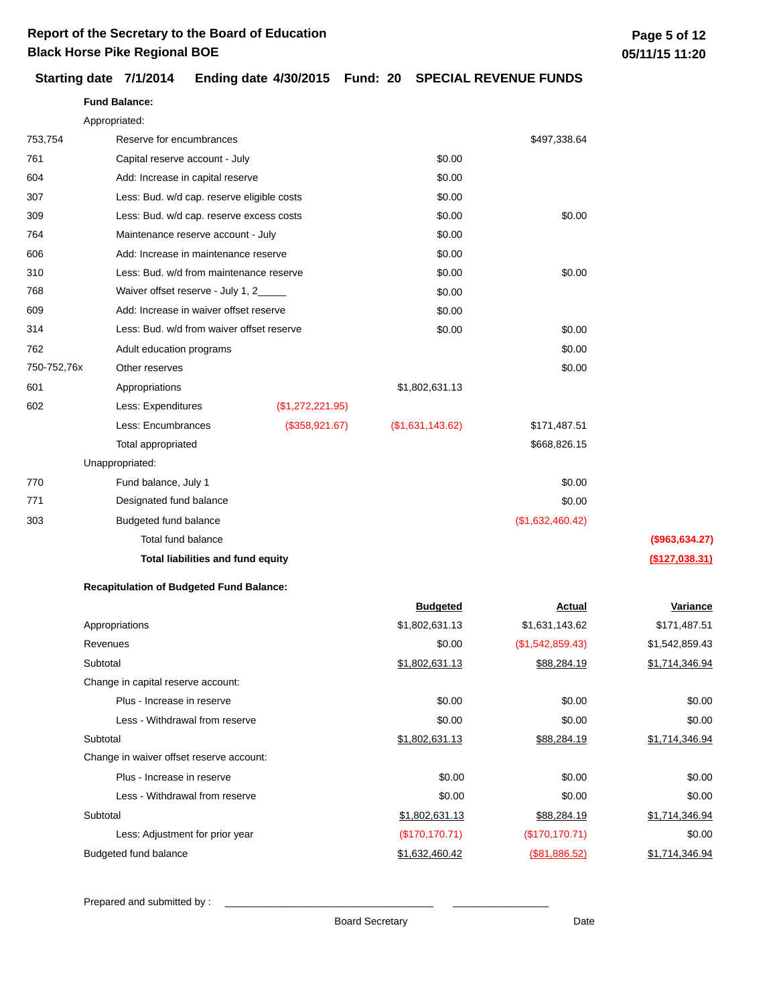### **Starting date 7/1/2014 Ending date 4/30/2015 Fund: 20 SPECIAL REVENUE FUNDS**

|             | <b>Fund Balance:</b>                            |                  |                  |                  |                 |
|-------------|-------------------------------------------------|------------------|------------------|------------------|-----------------|
|             | Appropriated:                                   |                  |                  |                  |                 |
| 753,754     | Reserve for encumbrances                        |                  |                  | \$497,338.64     |                 |
| 761         | Capital reserve account - July                  |                  | \$0.00           |                  |                 |
| 604         | Add: Increase in capital reserve                |                  | \$0.00           |                  |                 |
| 307         | Less: Bud. w/d cap. reserve eligible costs      |                  | \$0.00           |                  |                 |
| 309         | Less: Bud. w/d cap. reserve excess costs        |                  | \$0.00           | \$0.00           |                 |
| 764         | Maintenance reserve account - July              |                  | \$0.00           |                  |                 |
| 606         | Add: Increase in maintenance reserve            |                  | \$0.00           |                  |                 |
| 310         | Less: Bud. w/d from maintenance reserve         |                  | \$0.00           | \$0.00           |                 |
| 768         | Waiver offset reserve - July 1, 2_____          |                  | \$0.00           |                  |                 |
| 609         | Add: Increase in waiver offset reserve          |                  | \$0.00           |                  |                 |
| 314         | Less: Bud. w/d from waiver offset reserve       |                  | \$0.00           | \$0.00           |                 |
| 762         | Adult education programs                        |                  |                  | \$0.00           |                 |
| 750-752,76x | Other reserves                                  |                  |                  | \$0.00           |                 |
| 601         | Appropriations                                  |                  | \$1,802,631.13   |                  |                 |
| 602         | Less: Expenditures                              | (\$1,272,221.95) |                  |                  |                 |
|             | Less: Encumbrances                              | (\$358,921.67)   | (\$1,631,143.62) | \$171,487.51     |                 |
|             | Total appropriated                              |                  |                  | \$668,826.15     |                 |
|             | Unappropriated:                                 |                  |                  |                  |                 |
| 770         | Fund balance, July 1                            |                  |                  | \$0.00           |                 |
| 771         | Designated fund balance                         |                  |                  | \$0.00           |                 |
| 303         | Budgeted fund balance                           |                  |                  | (\$1,632,460.42) |                 |
|             | Total fund balance                              |                  |                  |                  | (\$963, 634.27) |
|             | Total liabilities and fund equity               |                  |                  |                  | (\$127,038.31)  |
|             | <b>Recapitulation of Budgeted Fund Balance:</b> |                  |                  |                  |                 |
|             |                                                 |                  | <b>Budgeted</b>  | <u>Actual</u>    | Variance        |
|             | Appropriations                                  |                  | \$1,802,631.13   | \$1,631,143.62   | \$171,487.51    |
|             | Revenues                                        |                  | \$0.00           | (\$1,542,859.43) | \$1,542,859.43  |
|             | Subtotal                                        |                  | \$1,802,631.13   | \$88,284.19      | \$1,714,346.94  |
|             | Change in capital reserve account:              |                  |                  |                  |                 |
|             | Plus - Increase in reserve                      |                  | \$0.00           | \$0.00           | \$0.00          |
|             | Less - Withdrawal from reserve                  |                  | \$0.00           | \$0.00           | \$0.00          |
|             | Subtotal                                        |                  | \$1,802,631.13   | \$88,284.19      | \$1,714,346.94  |
|             | Change in waiver offset reserve account:        |                  |                  |                  |                 |

Less: Adjustment for prior year (\$170,170.71)

Prepared and submitted by :

Plus - Increase in reserve

Less - Withdrawal from reserve

Budgeted fund balance

Subtotal

Board Secretary **Date** 

\$0.00 \$0.00

\$1,802,631.13 \$88,284.19 \$1,714,346.94

\$1,632,460.42 (\$81,886.52) \$1,714,346.94

(\$170,170.71) \$0.00

\$0.00 \$0.00 \$0.00 \$0.00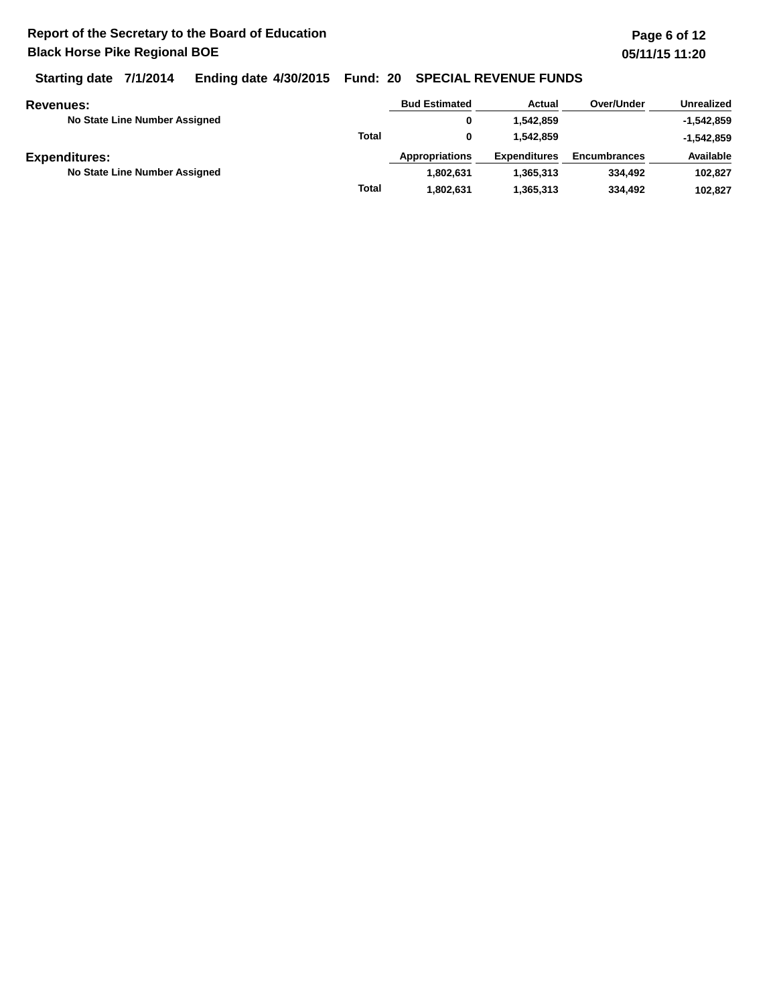**Starting date 7/1/2014 Ending date 4/30/2015 Fund: 20 SPECIAL REVENUE FUNDS**

| <b>Revenues:</b>              |              | <b>Bud Estimated</b>  | Actual              | Over/Under          | <b>Unrealized</b> |
|-------------------------------|--------------|-----------------------|---------------------|---------------------|-------------------|
| No State Line Number Assigned |              | 0                     | 1.542.859           |                     | $-1,542,859$      |
|                               | <b>Total</b> |                       | 1.542.859           |                     | $-1,542,859$      |
| <b>Expenditures:</b>          |              | <b>Appropriations</b> | <b>Expenditures</b> | <b>Encumbrances</b> | Available         |
| No State Line Number Assigned |              | 1.802.631             | 1.365.313           | 334,492             | 102.827           |
|                               | <b>Total</b> | 1.802.631             | 1,365,313           | 334,492             | 102.827           |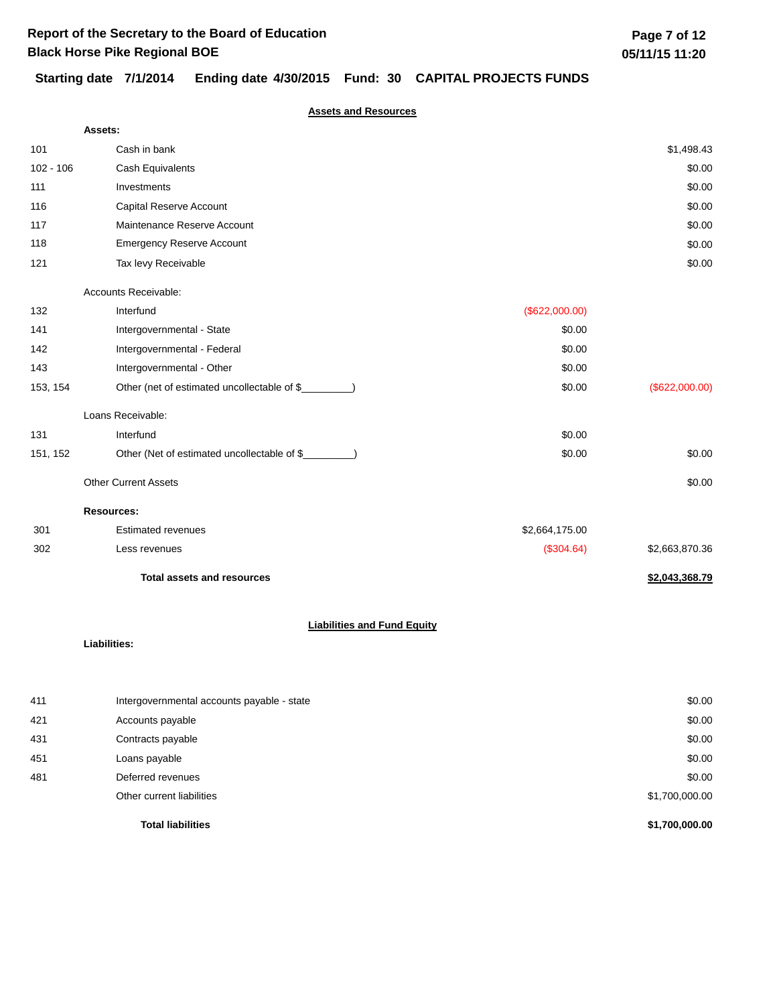## **Starting date 7/1/2014 Ending date 4/30/2015 Fund: 30 CAPITAL PROJECTS FUNDS**

**Assets and Resources**

|             | Assets:                                              |                |                |
|-------------|------------------------------------------------------|----------------|----------------|
| 101         | Cash in bank                                         |                | \$1,498.43     |
| $102 - 106$ | Cash Equivalents                                     |                | \$0.00         |
| 111         | Investments                                          |                | \$0.00         |
| 116         | Capital Reserve Account                              |                | \$0.00         |
| 117         | Maintenance Reserve Account                          |                | \$0.00         |
| 118         | <b>Emergency Reserve Account</b>                     |                | \$0.00         |
| 121         | Tax levy Receivable                                  |                | \$0.00         |
|             | Accounts Receivable:                                 |                |                |
| 132         | Interfund                                            | (\$622,000.00) |                |
| 141         | Intergovernmental - State                            | \$0.00         |                |
| 142         | Intergovernmental - Federal                          | \$0.00         |                |
| 143         | Intergovernmental - Other                            | \$0.00         |                |
| 153, 154    | Other (net of estimated uncollectable of \$          | \$0.00         | (\$622,000.00) |
|             | Loans Receivable:                                    |                |                |
| 131         | Interfund                                            | \$0.00         |                |
| 151, 152    | Other (Net of estimated uncollectable of \$________) | \$0.00         | \$0.00         |
|             | <b>Other Current Assets</b>                          |                | \$0.00         |
|             | <b>Resources:</b>                                    |                |                |
| 301         | <b>Estimated revenues</b>                            | \$2,664,175.00 |                |
| 302         | Less revenues                                        | (\$304.64)     | \$2,663,870.36 |
|             | <b>Total assets and resources</b>                    |                | \$2,043,368.79 |
|             | <b>Liabilities and Fund Equity</b><br>Liabilities:   |                |                |
|             |                                                      |                |                |
|             |                                                      |                |                |

|     | <b>Total liabilities</b>                   | \$1,700,000.00 |
|-----|--------------------------------------------|----------------|
|     | Other current liabilities                  | \$1,700,000.00 |
| 481 | Deferred revenues                          | \$0.00         |
| 451 | Loans payable                              | \$0.00         |
| 431 | Contracts payable                          | \$0.00         |
| 421 | Accounts payable                           | \$0.00         |
| 411 | Intergovernmental accounts payable - state | \$0.00         |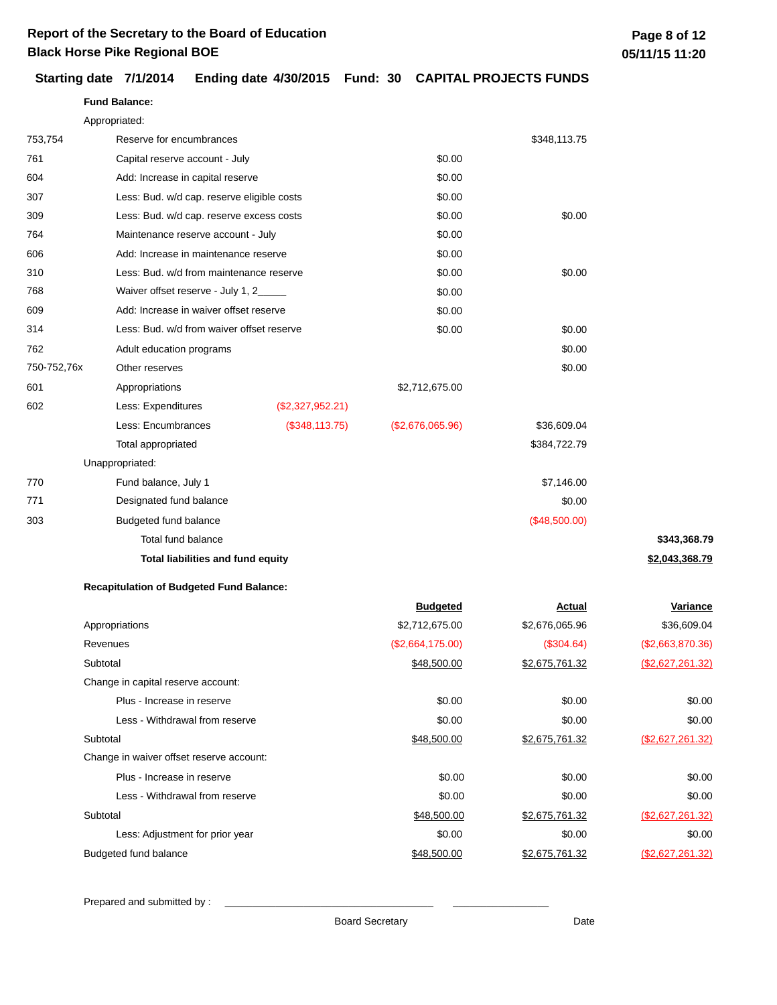**Fund Balance:**

### **Starting date 7/1/2014 Ending date 4/30/2015 Fund: 30 CAPITAL PROJECTS FUNDS**

|             | Appropriated:                                   |                  |                  |                |                  |
|-------------|-------------------------------------------------|------------------|------------------|----------------|------------------|
| 753,754     | Reserve for encumbrances                        |                  |                  | \$348,113.75   |                  |
| 761         | Capital reserve account - July                  |                  | \$0.00           |                |                  |
| 604         | Add: Increase in capital reserve                |                  | \$0.00           |                |                  |
| 307         | Less: Bud. w/d cap. reserve eligible costs      |                  | \$0.00           |                |                  |
| 309         | Less: Bud. w/d cap. reserve excess costs        |                  | \$0.00           | \$0.00         |                  |
| 764         | Maintenance reserve account - July              |                  | \$0.00           |                |                  |
| 606         | Add: Increase in maintenance reserve            |                  | \$0.00           |                |                  |
| 310         | Less: Bud. w/d from maintenance reserve         |                  | \$0.00           | \$0.00         |                  |
| 768         | Waiver offset reserve - July 1, 2_              |                  | \$0.00           |                |                  |
| 609         | Add: Increase in waiver offset reserve          |                  | \$0.00           |                |                  |
| 314         | Less: Bud. w/d from waiver offset reserve       |                  | \$0.00           | \$0.00         |                  |
| 762         | Adult education programs                        |                  |                  | \$0.00         |                  |
| 750-752,76x | Other reserves                                  |                  |                  | \$0.00         |                  |
| 601         | Appropriations                                  |                  | \$2,712,675.00   |                |                  |
| 602         | Less: Expenditures                              | (\$2,327,952.21) |                  |                |                  |
|             | Less: Encumbrances                              | (\$348, 113.75)  | (\$2,676,065.96) | \$36,609.04    |                  |
|             | Total appropriated                              |                  |                  | \$384,722.79   |                  |
|             | Unappropriated:                                 |                  |                  |                |                  |
| 770         | Fund balance, July 1                            |                  |                  | \$7,146.00     |                  |
| 771         | Designated fund balance                         |                  |                  | \$0.00         |                  |
| 303         | Budgeted fund balance                           |                  |                  | (\$48,500.00)  |                  |
|             | Total fund balance                              |                  |                  |                | \$343,368.79     |
|             | <b>Total liabilities and fund equity</b>        |                  |                  |                | \$2,043,368.79   |
|             | <b>Recapitulation of Budgeted Fund Balance:</b> |                  |                  |                |                  |
|             |                                                 |                  | <b>Budgeted</b>  | Actual         | <b>Variance</b>  |
|             | Appropriations                                  |                  | \$2,712,675.00   | \$2,676,065.96 | \$36,609.04      |
|             | Revenues                                        |                  | (\$2,664,175.00) | (\$304.64)     | (\$2,663,870.36) |
|             | Subtotal                                        |                  | \$48,500.00      | \$2,675,761.32 | (\$2,627,261.32) |
|             | Change in capital reserve account:              |                  |                  |                |                  |
|             | Plus - Increase in reserve                      |                  | \$0.00           | \$0.00         | \$0.00           |

Prepared and submitted by :

Change in waiver offset reserve account:

Plus - Increase in reserve

Less - Withdrawal from reserve

Subtotal

Subtotal

Budgeted fund balance

Board Secretary **Date** 

Less: Adjustment for prior year  $$0.00$ 

Less - Withdrawal from reserve **80.00** \$0.00 \$0.00 \$0.00 \$0.00 \$0.00

\$0.00

\$0.00 \$0.00

\$48,500.00 \$2,675,761.32 (\$2,627,261.32)

\$48,500.00 \$2,675,761.32 (\$2,627,261.32)

\$48,500.00 \$2,675,761.32 (\$2,627,261.32)

\$0.00 \$0.00

\$0.00 \$0.00 \$0.00 \$0.00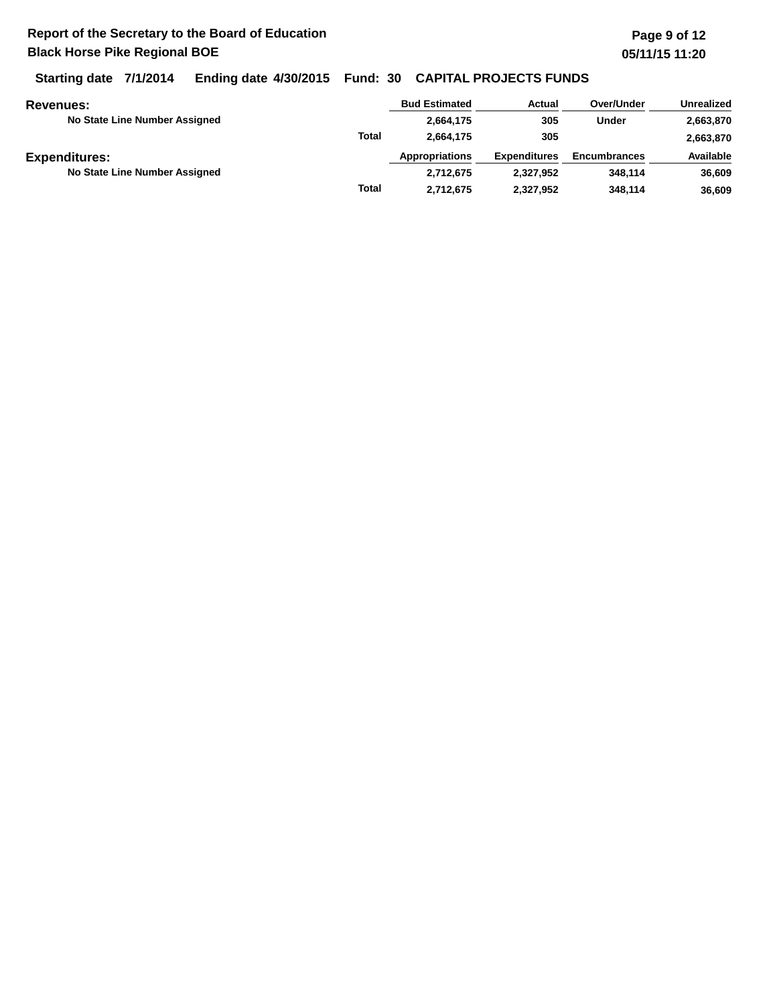**Starting date 7/1/2014 Ending date 4/30/2015 Fund: 30 CAPITAL PROJECTS FUNDS**

| Revenues:                     |              | <b>Bud Estimated</b>  | Actual              | Over/Under          | Unrealized |
|-------------------------------|--------------|-----------------------|---------------------|---------------------|------------|
| No State Line Number Assigned |              | 2,664,175             | 305                 | Under               | 2,663,870  |
|                               | <b>Total</b> | 2.664.175             | 305                 |                     | 2,663,870  |
| <b>Expenditures:</b>          |              | <b>Appropriations</b> | <b>Expenditures</b> | <b>Encumbrances</b> | Available  |
| No State Line Number Assigned |              | 2.712.675             | 2,327,952           | 348.114             | 36,609     |
|                               | <b>Total</b> | 2,712,675             | 2,327,952           | 348,114             | 36.609     |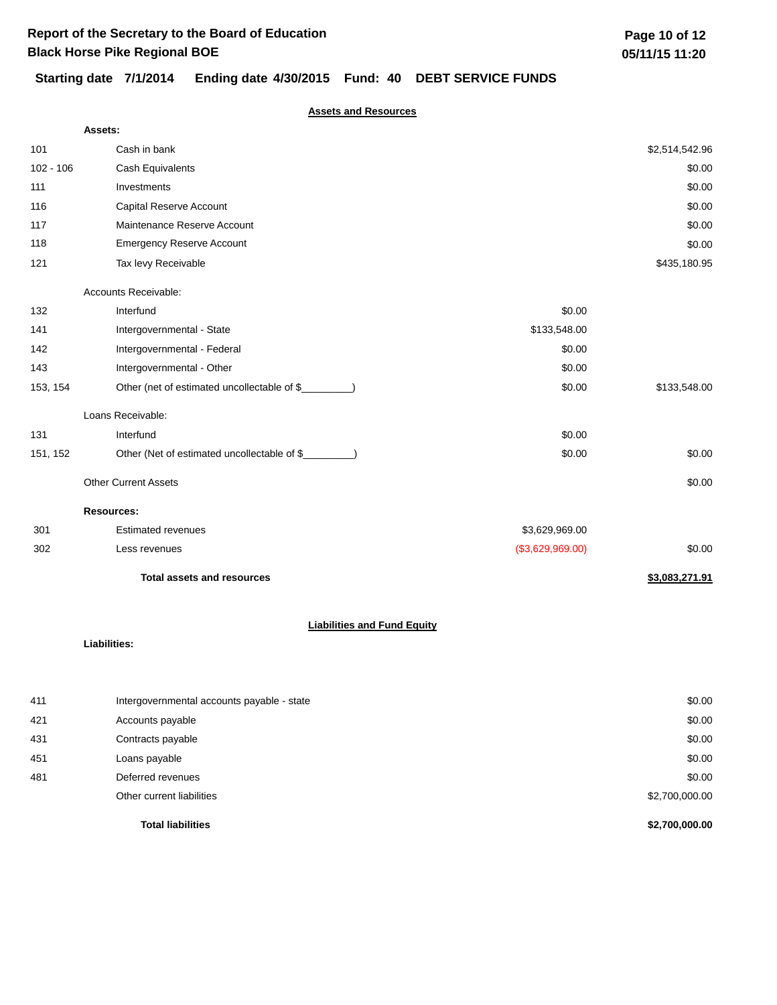# **Starting date 7/1/2014 Ending date 4/30/2015 Fund: 40 DEBT SERVICE FUNDS**

### **Assets and Resources**

|             | Assets:                                     |                  |                |  |  |
|-------------|---------------------------------------------|------------------|----------------|--|--|
| 101         | Cash in bank                                |                  | \$2,514,542.96 |  |  |
| $102 - 106$ | Cash Equivalents                            |                  | \$0.00         |  |  |
| 111         | Investments                                 |                  | \$0.00         |  |  |
| 116         | Capital Reserve Account                     |                  | \$0.00         |  |  |
| 117         | Maintenance Reserve Account                 |                  | \$0.00         |  |  |
| 118         | <b>Emergency Reserve Account</b>            |                  | \$0.00         |  |  |
| 121         | Tax levy Receivable                         |                  | \$435,180.95   |  |  |
|             | Accounts Receivable:                        |                  |                |  |  |
| 132         | Interfund                                   | \$0.00           |                |  |  |
| 141         | Intergovernmental - State                   | \$133,548.00     |                |  |  |
| 142         | Intergovernmental - Federal                 | \$0.00           |                |  |  |
| 143         | Intergovernmental - Other                   | \$0.00           |                |  |  |
| 153, 154    | Other (net of estimated uncollectable of \$ | \$0.00           | \$133,548.00   |  |  |
|             | Loans Receivable:                           |                  |                |  |  |
| 131         | Interfund                                   | \$0.00           |                |  |  |
| 151, 152    | Other (Net of estimated uncollectable of \$ | \$0.00           | \$0.00         |  |  |
|             | <b>Other Current Assets</b>                 |                  | \$0.00         |  |  |
|             | <b>Resources:</b>                           |                  |                |  |  |
| 301         | <b>Estimated revenues</b>                   | \$3,629,969.00   |                |  |  |
| 302         | Less revenues                               | (\$3,629,969.00) | \$0.00         |  |  |
|             | <b>Total assets and resources</b>           |                  | \$3,083,271.91 |  |  |
|             | <b>Liabilities and Fund Equity</b>          |                  |                |  |  |
|             | Liabilities:                                |                  |                |  |  |
|             |                                             |                  |                |  |  |

|     | <b>Total liabilities</b>                   | \$2,700,000.00 |
|-----|--------------------------------------------|----------------|
|     | Other current liabilities                  | \$2,700,000.00 |
| 481 | Deferred revenues                          | \$0.00         |
| 451 | Loans payable                              | \$0.00         |
| 431 | Contracts payable                          | \$0.00         |
| 421 | Accounts payable                           | \$0.00         |
| 411 | Intergovernmental accounts payable - state | \$0.00         |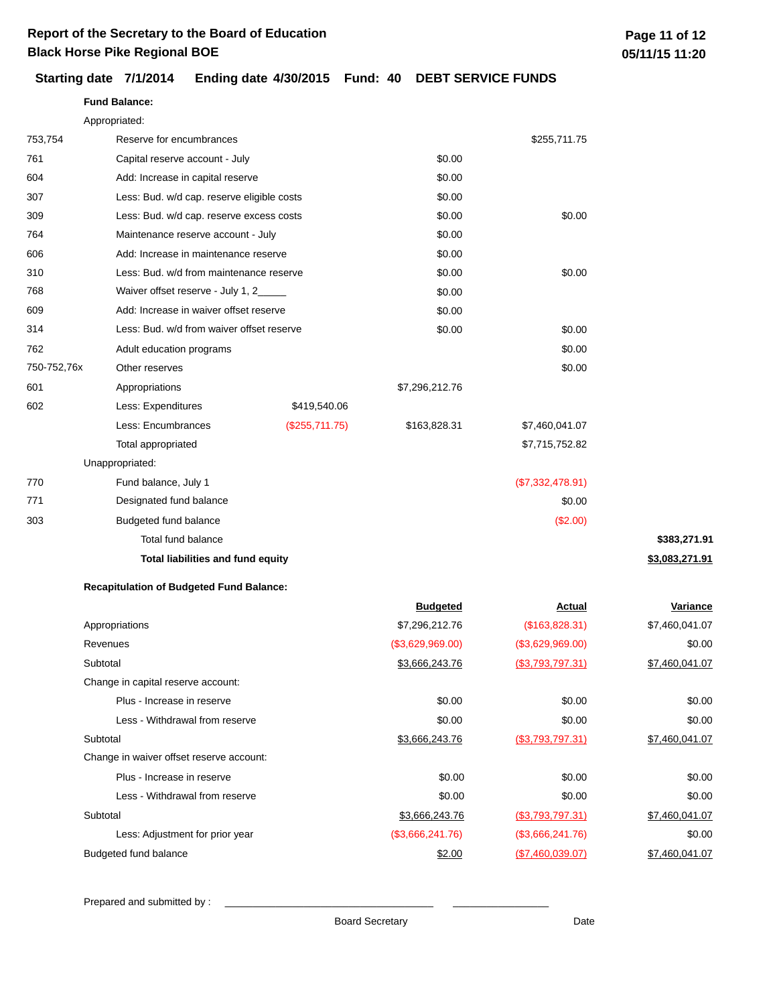**Fund Balance:**

|                      | Appropriated:                                   |                                                                                                                              |                  |                   |                 |  |
|----------------------|-------------------------------------------------|------------------------------------------------------------------------------------------------------------------------------|------------------|-------------------|-----------------|--|
| 753,754              | Reserve for encumbrances                        |                                                                                                                              |                  | \$255,711.75      |                 |  |
| 761                  | Capital reserve account - July                  |                                                                                                                              | \$0.00           |                   |                 |  |
| 604                  | Add: Increase in capital reserve                |                                                                                                                              | \$0.00           |                   |                 |  |
| 307                  |                                                 | Less: Bud. w/d cap. reserve eligible costs<br>Less: Bud. w/d cap. reserve excess costs<br>Maintenance reserve account - July |                  |                   |                 |  |
| 309                  |                                                 |                                                                                                                              |                  | \$0.00            |                 |  |
| 764                  |                                                 |                                                                                                                              |                  |                   |                 |  |
| 606                  | Add: Increase in maintenance reserve            |                                                                                                                              | \$0.00           |                   |                 |  |
| 310                  | Less: Bud. w/d from maintenance reserve         |                                                                                                                              | \$0.00           | \$0.00            |                 |  |
| 768                  |                                                 | Waiver offset reserve - July 1, 2_____                                                                                       |                  |                   |                 |  |
| 609                  | Add: Increase in waiver offset reserve          |                                                                                                                              | \$0.00           |                   |                 |  |
| 314                  |                                                 | Less: Bud. w/d from waiver offset reserve                                                                                    |                  | \$0.00            |                 |  |
| 762                  | Adult education programs                        |                                                                                                                              |                  | \$0.00            |                 |  |
| 750-752,76x          | Other reserves                                  |                                                                                                                              |                  | \$0.00            |                 |  |
| 601                  | Appropriations                                  |                                                                                                                              | \$7,296,212.76   |                   |                 |  |
| 602                  | Less: Expenditures                              | \$419,540.06                                                                                                                 |                  |                   |                 |  |
|                      | Less: Encumbrances                              | (\$255,711.75)                                                                                                               | \$163,828.31     | \$7,460,041.07    |                 |  |
|                      | Total appropriated                              |                                                                                                                              |                  | \$7,715,752.82    |                 |  |
|                      | Unappropriated:                                 |                                                                                                                              |                  |                   |                 |  |
| 770                  | Fund balance, July 1                            |                                                                                                                              |                  | (\$7,332,478.91)  |                 |  |
| 771                  | Designated fund balance                         |                                                                                                                              |                  | \$0.00            |                 |  |
| 303                  | Budgeted fund balance                           |                                                                                                                              |                  | (\$2.00)          |                 |  |
|                      | Total fund balance                              |                                                                                                                              |                  |                   | \$383,271.91    |  |
|                      | Total liabilities and fund equity               |                                                                                                                              |                  |                   | \$3,083,271.91  |  |
|                      | <b>Recapitulation of Budgeted Fund Balance:</b> |                                                                                                                              |                  |                   |                 |  |
|                      |                                                 |                                                                                                                              | <b>Budgeted</b>  | <b>Actual</b>     | <u>Variance</u> |  |
|                      | Appropriations                                  |                                                                                                                              | \$7,296,212.76   | (\$163,828.31)    | \$7,460,041.07  |  |
| Revenues<br>Subtotal |                                                 |                                                                                                                              | (\$3,629,969.00) | (\$3,629,969.00)  | \$0.00          |  |
|                      |                                                 |                                                                                                                              | \$3,666,243.76   | (\$3,793,797.31)  | \$7,460,041.07  |  |
|                      | Change in capital reserve account:              |                                                                                                                              |                  |                   |                 |  |
|                      | Plus - Increase in reserve                      |                                                                                                                              | \$0.00           | \$0.00            | \$0.00          |  |
|                      | Less - Withdrawal from reserve                  |                                                                                                                              | \$0.00           | \$0.00            | \$0.00          |  |
|                      | Subtotal                                        |                                                                                                                              | \$3,666,243.76   | (\$3,793,797.31)  | \$7,460,041.07  |  |
|                      | Change in waiver offset reserve account:        |                                                                                                                              |                  |                   |                 |  |
|                      | Plus - Increase in reserve                      |                                                                                                                              | \$0.00           | \$0.00            | \$0.00          |  |
|                      | Less - Withdrawal from reserve                  |                                                                                                                              | \$0.00           | \$0.00            | \$0.00          |  |
|                      | Subtotal                                        |                                                                                                                              | \$3,666,243.76   | (\$3,793,797.31)  | \$7,460,041.07  |  |
|                      | Less: Adjustment for prior year                 |                                                                                                                              | (\$3,666,241.76) | (\$3,666,241.76)  | \$0.00          |  |
|                      | Budgeted fund balance                           |                                                                                                                              | \$2.00           | ( \$7,460,039.07) | \$7,460,041.07  |  |

## **Starting date 7/1/2014 Ending date 4/30/2015 Fund: 40 DEBT SERVICE FUNDS**

Prepared and submitted by : \_\_\_\_\_\_\_\_\_\_\_\_\_\_\_\_\_\_\_\_\_\_\_\_\_\_\_\_\_\_\_\_\_\_\_\_\_ \_\_\_\_\_\_\_\_\_\_\_\_\_\_\_\_\_

Board Secretary **Date**